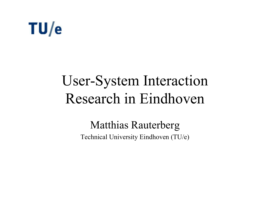# $TU/e$

## User-System Interaction Research in Eindhoven

### Matthias Rauterberg

Technical University Eindhoven (TU/e)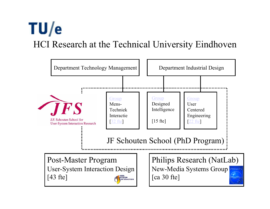## $TU/e$ HCI Research at the Technical University Eindhoven

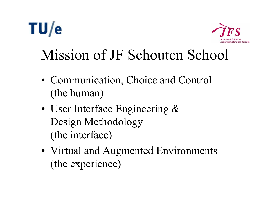# $TU/e$



# Mission of JF Schouten School

- Communication, Choice and Control (the human)
- User Interface Engineering & Design Methodology (the interface)
- Virtual and Augmented Environments (the experience)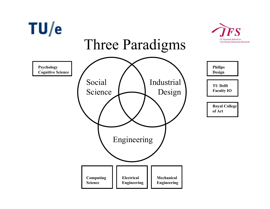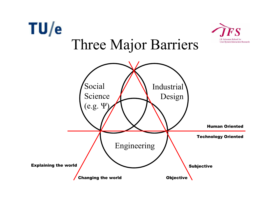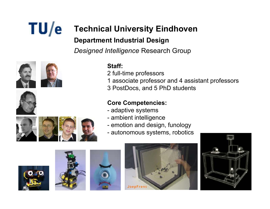# $TU/e$

### **Technical University Eindhoven Department Industrial Design**

*Designed Intelligence* Research Group







### **Staff:**

- 2 full-time professors
- 1 associate professor and 4 assistant professors
- 3 PostDocs, and 5 PhD students

### **Core Competencies:**

- adaptive systems
- ambient intelligence
- emotion and design, funology
- autonomous systems, robotics









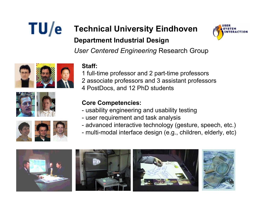### $TU/e$ **Technical University Eindhoven Department Industrial Design**



*User Centered Engineering* Research Group

### **Staff:**

1 full-time professor and 2 part-time professors 2 associate professors and 3 assistant professors 4 PostDocs, and 12 PhD students

### **Core Competencies:**

- usability engineering and usability testing
- user requirement and task analysis
- advanced interactive technology (gesture, speech, etc.)
- multi-modal interface design (e.g., children, elderly, etc)











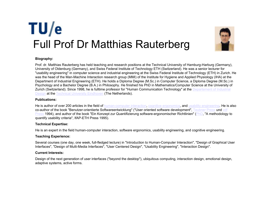## $TU/e$ Full Prof Dr Matthias Rauterberg



### **Biography:**

Prof. dr. Matthias Rauterberg has held teaching and research positions at the Technical University of Hamburg-Harburg (Germany), University of Oldenburg (Germany), and Swiss Federal Institute of Technology ETH (Switzerland). He was a senior lecturer for "usability engineering" in computer science and industrial engineering at the Swiss Federal Institute of Technology (ETH) in Zurich. He was the head of the Man-Machine Interaction research group (MMI) of the Institute for Hygiene and Applied Physiology (IHA) at the Department of Industrial Engineering (ETH). He holds a Diploma Degree (M.Sc.) in Computer Science, a Diploma Degree (M.Sc.) in Psychology and a Bachelor Degree (B.A.) in Philosophy. He finished his PhD in Mathematics/Computer Science at the University of Zurich (Switzerland). Since 1998, he is fulltime professor for "Human Communication Technology" at the Departement of Industrial Design at the Technical University Eindhoven (The Netherlands).

#### **Publications:**

He is author of over 200 articles in the field of human-computer interaction, cognitive ergonomics, and usability engineering. He is also co-author of the book "Benutzer-orientierte Softwareentwicklung" ("User oriented software development", Teubner Press und vdf <u>Press</u> 1994), and author of the book "Ein Konzept zur Quantifizierung software-ergonomischer Richtlinien" (<u>PhD,</u> "A methodology to quantify usability criteria", IfAP-ETH Press 1995).

### **Technical Expertise:**

He is an expert in the field human-computer interaction, software ergonomics, usability engineering, and cognitive engineering.

### **Teaching Experience:**

Several courses (one day, one week, full-fledged lecture) in "Introduction to Human-Computer Interaction", "Design of Graphical User Interfaces", "Design of Multi-Media Interfaces", "User Centered Design", "Usability Engineering", "Interaction Design".

#### **Current Interests:**

Design of the next generation of user interfaces ("beyond the desktop"), ubiquitous computing, interaction design, emotional design, adaptive systems, active forms.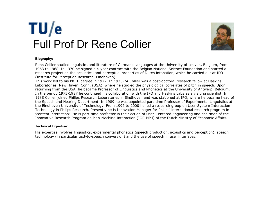## TU/e Full Prof Dr Rene Collier



#### **Biography:**

Ren é Collier studied linguistics and literature of Germanic languages at the University of Leuven, Belgium, from 1963 to 1968. In 1970 he signed a 4-year contract with the Belgian National Science Foundation and started a research project on the acoustical and perceptual properties of Dutch intonation, which he carried out at IPO (Institute for Perception Research, Eindhoven).

This work led to his Ph.D. degree in 1972. In 1973-74 Collier was a post-doctoral research fellow at Haskins Laboratories, New Haven, Conn. (USA), where he studied the physiological correlates of pitch in speech. Upon returning from the USA, he became Professor of Linguistics and Phonetics at the University of Antwerp, Belgium. In the period 1975-1987 he continued his collaboration with the IPO and Haskins Labs as a visiting scientist. In 1988 Collier joined Philips Research Laboratories in Eindhoven and was stationed at IPO, where he became head of the Speech and Hearing Department. In 1989 he was appointed part-time Professor of Experimental Linguistics at the Eindhoven University of Technology. From 1997 to 2000 he led a research group on User-System Interaction Technology in Philips Research. Presently he is Innovation Manager for Philips' international research program in "content interaction". He is part-time professor in the Section of User-Centered Engineering and chairman of the Innovative Research Program on Man-Machine Interaction (IOP-MMI) of the Dutch Ministry of Economic Affairs.

### **Technical Expertise:**

His expertise involves linguistics, experimental phonetics (speech production, acoustics and perception), speech technology (in particular text-to-speech conversion) and the use of speech in user interfaces.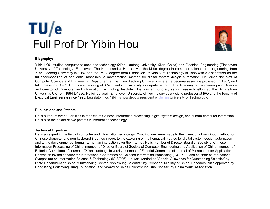## $TU/e$ Full Prof Dr Yibin Hou



#### **Biography:**

Yibin HOU studied computer science and technology (Xi'an Jiaotong University, Xi'an, China) and Electrical Engineering (Eindhoven University of Technology, Eindhoven, The Netherlands). He received the M.Sc. degree in computer science and engineering from Xi'an Jiaotong University in 1982 and the Ph.D. degree from Eindhoven University of Technology in 1986 with a dissertation on the full-decomposition of sequential machines, a mathematical method for digital system design automation. He joined the staff of Computer Science and Engineering Department at the Xi'an Jiaotong University where he became associate professor in 1987, and full professor in 1989. Hou is now working at Xi'an Jiaotong University as depute rector of The Academy of Engineering and Science and director of Computer and Information Technology Institute. He was an honorary senior research fellow at The Birmingham University, UK from 1994 to1996. He joined again Eindhoven University of Technology as a visiting professor at IPO and the Faculty of Electrical Engineering since 1998. Legislator Hou Yibin is now deputy president of Beijing University of Technology.

#### **Publications and Patents:**

He is author of over 80 articles in the field of Chinese information processing, digital system design, and human-computer interaction. He is also the holder of two patents in information technology.

#### **Technical Expertise:**

He is an expert in the field of computer and information technology. Contributions were made to the invention of new input method for Chinese character and non-keyboard-input technique, to the exploring of mathematical method for digital system design automation and to the development of human-to-human interaction over the Internet. He is member of Director Board of Society of Chinese Information Processing of China, member of Director Board of Society of Computer Engineering and Application of China, member of Editorial Committee of Journal of Xi'an Jiaotong University, member of Editorial Committee of Journal of Microcomputer Applications. He was an invited speaker for International Conference on Chinese Information Processing (ICCIP'92) and co-chair of International Symposium on Information Science & Technology (ISIST'96). He was warded as "Special Allowance for Outstanding Scientist" by State Department of China, "Outstanding Contribution Young Scientist " by Personnel Ministry of China, Research Prize approved by Hong Kong Fork Yong Dung Foundation, and "Award of China Scientific Industry Pioneer" by China Youth Association.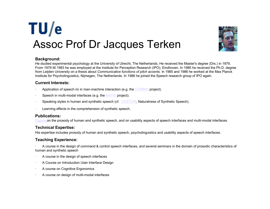



### **Background:**

He studied experimental psychology at the University of Utrecht, The Netherlands. He received the Master's degree (Drs.) in 1979. From 1979 till 1983 he was employed at the Institute for Perception Research (IPO), Eindhoven. In 1985 he received the Ph.D. degree from Leijden University on a thesis about *Communicative functions of pitch accents.* In 1985 and 1986 he worked at the Max Planck Institute for Psycholinguistics, Nijmegen, The Netherlands. In 1986 he joined the Speech research group of IPO again.

### **Current Interests:**

- Application of speech i/o in man-machine interaction (e.g. the COMRIS project).
- Speech in multi-modal interfaces (e.g. the MATIS project).
- Speaking styles in human and synthetic speech (cf. COST258, Naturalness of Synthetic Speech).
- Learning effects in the comprehension of synthetic speech.

### **Publications:**

Papers on the prosody of human and synthetic speech, and on usability aspects of speech interfaces and multi-modal interfaces.

### **Technical Expertise:**

His expertise includes prosody of human and synthetic speech, psycholinguistics and usability aspects of speech interfaces.

### **Teaching Experience:**

 A course in the design of command & control speech interfaces, and several seminars in the domain of prosodic characteristics of human and synthetic speech

- A course in the design of speech interfaces
- A Course on Introduction User Interface Design
- A course on Cognitive Ergonomics
- A course on design of multi-modal interfaces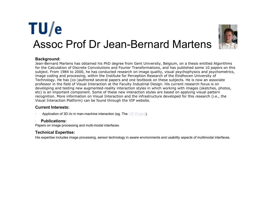### $TU/e$ Assoc Prof Dr Jean-Bernard Martens



### **Background:**

Jean-Bernard Martens has obtained his PhD degree from Gent University, Belgium, on a thesis entitled Algorithms for the Calculation of Discrete Convolutions and Fourier Transformations, and has published some 10 papers on this subject. From 1984 to 2000, he has conducted research on image quality, visual psychophysics and psychometrics, image coding and processing, within the Institute for Perception Research of the Eindhoven University of Technology. He has (co-)authored several papers and one textbook on these subjects. He is now an associate professor in the field of Visual Interaction at the Faculty Industrial Design. His current research focus is on developing and testing new augmented-reality interaction styles in which working with images (sketches, photos, etc) is an important component. Some of these new interaction styles are based on applying visual pattern recognition. More information on Visual Interaction and the infrastructure developed for this research (i.e., the Visual Interaction Platform) can be found through the VIP website.

### **Current Interests:**

Application of 3D i/o in man-machine interaction (eg. The VIP Project).

### **Publications:**

Papers on image processing and multi-modal interfaces.

### **Technical Expertise:**

His expertise includes image processing, sensor technology in aware environments and usability aspects of multimodal interfaces.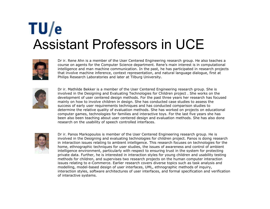## $TU/e$ Assistant Professors in UCE



Dr ir. Rene Ahn is a member of the User Centered Engineering research group. He also teaches a course on agents for the Computer Science department. Rene's main interest is in computational intelligence and man machine communication. In the past, he has participated in research projects that involve machine inference, context representation, and natural language dialogue, first at Philips Research Laboratories and later at Tilburg University.



Dr ir. Mathilde Bekker is a member of the User Centered Engineering research group. She is involved in the Designing and Evaluating Technologies for Children project . She works on the development of user centered design methods. For the past three years her research has focused mainly on how to involve children in design. She has conducted case studies to assess the success of early user requirements techniques and has conducted comparison studies to determine the relative quality of evaluation methods. She has worked on projects on educational computer games, technologies for families and interactive toys. For the last five years she has been also been teaching about user centered design and evaluation methods. She has also done research on the usability of speech controlled interfaces.



Dr ir. Panos Markopoulos is member of the User Centered Engineering research group. He is involved in the Designing and evaluating technologies for children project. Panos is doing research in interaction issues relating to ambient intelligence. This research focuses on technologies for the home, ethnographic techniques for user studies, the issues of awareness and control of ambient intelligence environment, particularly with respect to ensuring trust in the system for protecting private data. Further, he is interested in interaction styles for young children and usability testing methods for children, and supervises two research projects on the human computer interaction issues relating to e-Commerce. Earlier research covers diverse topics such as task analysis and modelling, model-based design of user interfaces, UML, ethnographic methods of inquiry, interaction styles, software architectures of user interfaces, and formal specification and verification of interactive systems.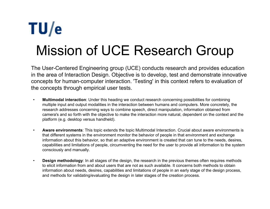# TU/e Mission of UCE Research Group

The User-Centered Engineering group (UCE) conducts research and provides education in the area of Interaction Design. Objective is to develop, test and demonstrate innovative concepts for human-computer interaction. 'Testing' in this context refers to evaluation of the concepts through empirical user tests.

- •**Multimodal interaction:** Under this heading we conduct research concerning possibilities for combining multiple input and output modalities in the interaction between humans and computers. More concretely, the research addresses concerning ways to combine speech, direct manipulation, information obtained from camera's and so forth with the objective to make the interaction more natural, dependent on the context and the platform (e.g. desktop versus handheld).
- • **Aware environments**: This topic extends the topic Multimodal Interaction. Crucial about aware environments is that different systems in the environment monitor the behavior of people in that environment and exchange information about this behavior, so that an adaptive environment is created that can tune to the needs, desires, capabilities and limitations of people, circumventing the need for the user to provide all information to the system consciously and manually.
- • **Design methodology**: In all stages of the design, the research in the previous themes often requires methods to elicit information from and about users that are not as such available. It concerns both methods to obtain information about needs, desires, capabilities and limitations of people in an early stage of the design process, and methods for validating/evaluating the design in later stages of the creation process.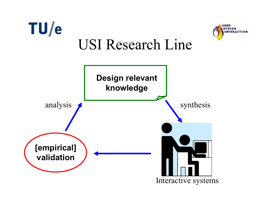

**USER SYSTEM** 

**ERACTION** 

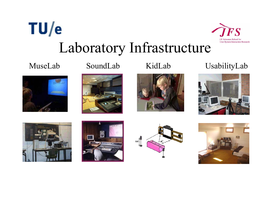

 $\tilde{\bm{F}}\bm{S}$ 

J.F. Schouten School for **User-System Interaction Research** 



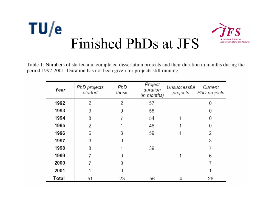

Table 1: Numbers of started and completed dissertation projects and their duration in months during the period 1992-2001. Duration has not been given for projects still running.

| Year  | PhD projects<br>started | PhD<br>thesis | Project<br>duration<br>(in months) | Unsuccessful<br>projects | Current<br>PhD projects |
|-------|-------------------------|---------------|------------------------------------|--------------------------|-------------------------|
| 1992  | 2                       | 2             | 57                                 |                          |                         |
| 1993  | 9                       | 9             | 58                                 |                          |                         |
| 1994  | 8                       |               | 54                                 |                          | 0                       |
| 1995  | 2                       |               | 48                                 |                          | Ω                       |
| 1996  | 6                       | 3             | 59                                 |                          | 2                       |
| 1997  | 3                       |               |                                    |                          | 3                       |
| 1998  | 8                       |               | 39                                 |                          |                         |
| 1999  |                         | Ω             |                                    |                          | 6                       |
| 2000  |                         | Ω             |                                    |                          |                         |
| 2001  |                         | 0             |                                    |                          |                         |
| Total | 51                      | 23            | 56                                 |                          | 26                      |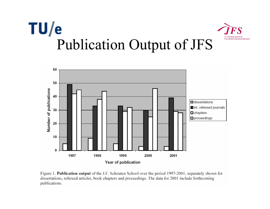



Figure 1. Publication output of the J.F. Schouten School over the period 1997-2001, separately shown for dissertations, refereed articles, book chapters and proceedings. The data for 2001 include forthcoming publications.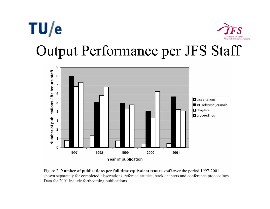### $TU/e$ **User-System Interaction Research** Output Performance per JFS Staff



Figure 2. Number of publications per full time equivalent tenure staff over the period 1997-2001, shown separately for completed dissertations, refereed articles, book chapters and conference proceedings. Data for 2001 include forthcoming publications.